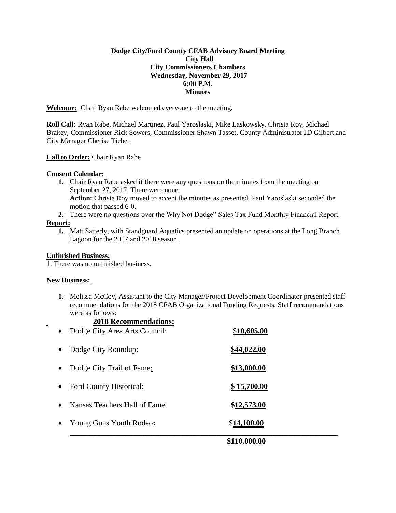## **Dodge City/Ford County CFAB Advisory Board Meeting City Hall City Commissioners Chambers Wednesday, November 29, 2017 6:00 P.M. Minutes**

**Welcome:** Chair Ryan Rabe welcomed everyone to the meeting.

**Roll Call:** Ryan Rabe, Michael Martinez, Paul Yaroslaski, Mike Laskowsky, Christa Roy, Michael Brakey, Commissioner Rick Sowers, Commissioner Shawn Tasset, County Administrator JD Gilbert and City Manager Cherise Tieben

## **Call to Order:** Chair Ryan Rabe

## **Consent Calendar:**

- **1.** Chair Ryan Rabe asked if there were any questions on the minutes from the meeting on September 27, 2017. There were none. **Action:** Christa Roy moved to accept the minutes as presented. Paul Yaroslaski seconded the motion that passed 6-0.
- **2.** There were no questions over the Why Not Dodge" Sales Tax Fund Monthly Financial Report.

## **Report:**

**1.** Matt Satterly, with Standguard Aquatics presented an update on operations at the Long Branch Lagoon for the 2017 and 2018 season.

## **Unfinished Business:**

1. There was no unfinished business.

## **New Business:**

**1.** Melissa McCoy, Assistant to the City Manager/Project Development Coordinator presented staff recommendations for the 2018 CFAB Organizational Funding Requests. Staff recommendations were as follows:

# **2018 Recommendations:**

|           | \$110,000.00                  |             |  |
|-----------|-------------------------------|-------------|--|
| $\bullet$ | Young Guns Youth Rodeo:       | \$14,100.00 |  |
| $\bullet$ | Kansas Teachers Hall of Fame: | \$12,573.00 |  |
| $\bullet$ | Ford County Historical:       | \$15,700.00 |  |
| $\bullet$ | Dodge City Trail of Fame:     | \$13,000.00 |  |
| $\bullet$ | Dodge City Roundup:           | \$44,022.00 |  |
| $\bullet$ | Dodge City Area Arts Council: | \$10,605.00 |  |